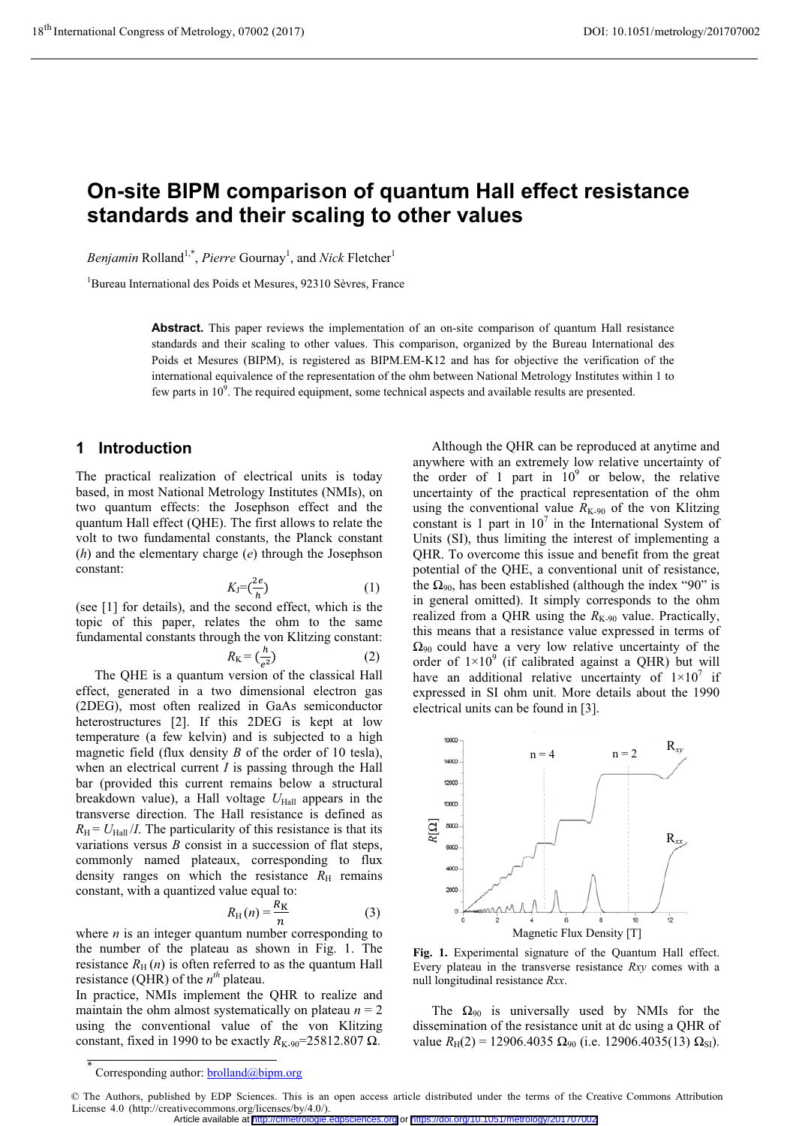# **On-site BIPM comparison of quantum Hall effect resistance standards and their scaling to other values**

Benjamin Rolland<sup>1,\*</sup>, Pierre Gournay<sup>1</sup>, and *Nick* Fletcher<sup>1</sup>

1 Bureau International des Poids et Mesures, 92310 Sèvres, France

**Abstract.** This paper reviews the implementation of an on-site comparison of quantum Hall resistance standards and their scaling to other values. This comparison, organized by the Bureau International des Poids et Mesures (BIPM), is registered as BIPM.EM-K12 and has for objective the verification of the international equivalence of the representation of the ohm between National Metrology Institutes within 1 to few parts in  $10<sup>9</sup>$ . The required equipment, some technical aspects and available results are presented.

## **1 Introduction**

The practical realization of electrical units is today based, in most National Metrology Institutes (NMIs), on two quantum effects: the Josephson effect and the quantum Hall effect (QHE). The first allows to relate the volt to two fundamental constants, the Planck constant (*h*) and the elementary charge (*e*) through the Josephson constant:

$$
K_{\rm J} = \left(\frac{2e}{h}\right) \tag{1}
$$

(see [1] for details), and the second effect, which is the topic of this paper, relates the ohm to the same fundamental constants through the von Klitzing constant:

$$
R_{\rm K} = \left(\frac{h}{e^2}\right) \tag{2}
$$

The QHE is a quantum version of the classical Hall effect, generated in a two dimensional electron gas (2DEG), most often realized in GaAs semiconductor heterostructures [2]. If this 2DEG is kept at low temperature (a few kelvin) and is subjected to a high magnetic field (flux density *B* of the order of 10 tesla), when an electrical current *I* is passing through the Hall bar (provided this current remains below a structural breakdown value), a Hall voltage  $U_{\text{Hall}}$  appears in the transverse direction. The Hall resistance is defined as  $R_{\rm H}$  =  $U_{\rm Hall}/I$ . The particularity of this resistance is that its variations versus *B* consist in a succession of flat steps, commonly named plateaux, corresponding to flux density ranges on which the resistance  $R<sub>H</sub>$  remains constant, with a quantized value equal to:

$$
R_{\rm H}(n) = \frac{R_{\rm K}}{n} \tag{3}
$$

where  $n$  is an integer quantum number corresponding to the number of the plateau as shown in Fig. 1. The resistance  $R_H(n)$  is often referred to as the quantum Hall resistance (QHR) of the  $n^{th}$  plateau.

In practice, NMIs implement the QHR to realize and maintain the ohm almost systematically on plateau  $n = 2$ using the conventional value of the von Klitzing constant, fixed in 1990 to be exactly  $R_{K-90}$ =25812.807  $\Omega$ .

Although the QHR can be reproduced at anytime and anywhere with an extremely low relative uncertainty of the order of 1 part in  $10^9$  or below, the relative uncertainty of the practical representation of the ohm using the conventional value  $R_{K-90}$  of the von Klitzing constant is 1 part in  $10^7$  in the International System of Units (SI), thus limiting the interest of implementing a QHR. To overcome this issue and benefit from the great potential of the QHE, a conventional unit of resistance, the  $\Omega_{90}$ , has been established (although the index "90" is in general omitted). It simply corresponds to the ohm realized from a QHR using the  $R_{K-90}$  value. Practically, this means that a resistance value expressed in terms of  $\Omega_{90}$  could have a very low relative uncertainty of the order of  $1\times10^9$  (if calibrated against a QHR) but will have an additional relative uncertainty of  $1 \times 10^7$  if expressed in SI ohm unit. More details about the 1990 electrical units can be found in [3].



**Fig. 1.** Experimental signature of the Quantum Hall effect. Every plateau in the transverse resistance *Rxy* comes with a null longitudinal resistance *Rxx*.

The  $\Omega_{90}$  is universally used by NMIs for the dissemination of the resistance unit at dc using a QHR of value  $R_H(2) = 12906.4035 \Omega_{90}$  (i.e. 12906.4035(13)  $\Omega_{SI}$ ).

<sup>\*</sup> Corresponding author: **brolland**@bipm.org

<sup>©</sup> The Authors, published by EDP Sciences. This is an open access article distributed under the terms of the Creative Commons Attribution License 4.0 (http://creativecommons.org/licenses/by/4.0/). Article available at <http://cfmetrologie.edpsciences.org> or <https://doi.org/10.1051/metrology/201707002>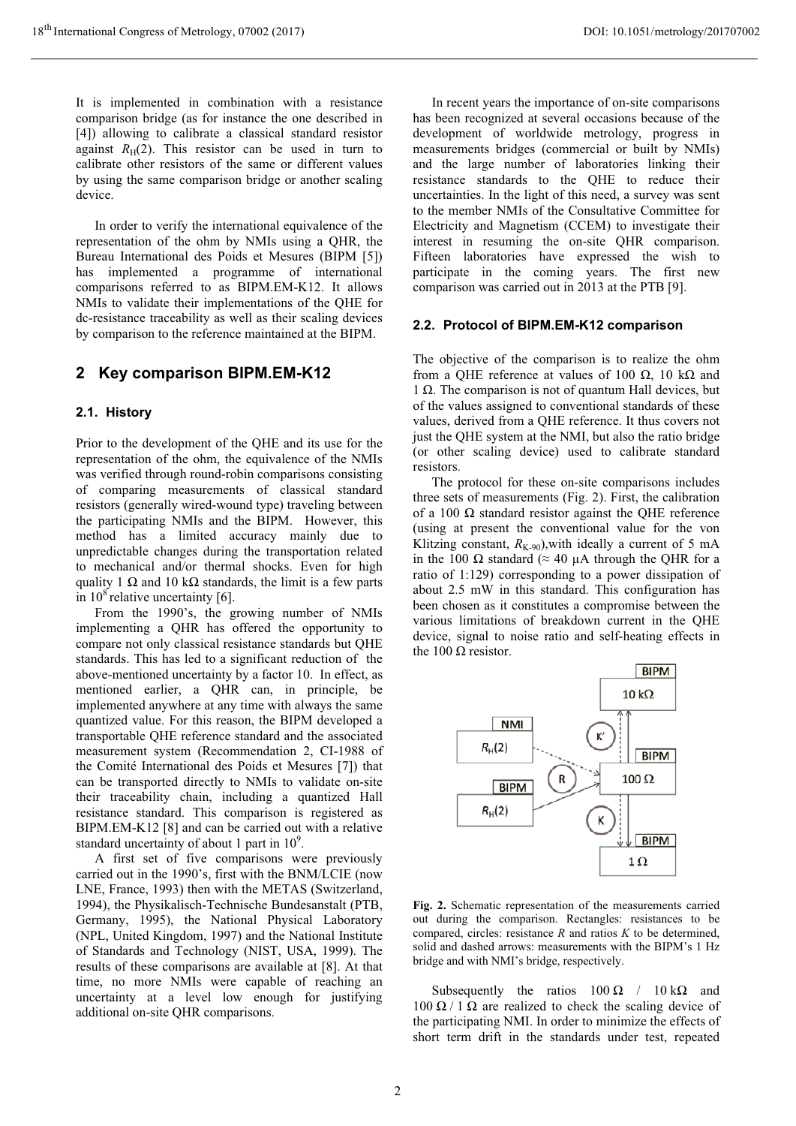It is implemented in combination with a resistance comparison bridge (as for instance the one described in [4]) allowing to calibrate a classical standard resistor against  $R_H(2)$ . This resistor can be used in turn to calibrate other resistors of the same or different values by using the same comparison bridge or another scaling device.

In order to verify the international equivalence of the representation of the ohm by NMIs using a QHR, the Bureau International des Poids et Mesures (BIPM [5]) has implemented a programme of international comparisons referred to as BIPM.EM-K12. It allows NMIs to validate their implementations of the QHE for dc-resistance traceability as well as their scaling devices by comparison to the reference maintained at the BIPM.

## **2 Key comparison BIPM.EM-K12**

#### **2.1. History**

Prior to the development of the QHE and its use for the representation of the ohm, the equivalence of the NMIs was verified through round-robin comparisons consisting of comparing measurements of classical standard resistors (generally wired-wound type) traveling between the participating NMIs and the BIPM. However, this method has a limited accuracy mainly due to unpredictable changes during the transportation related to mechanical and/or thermal shocks. Even for high quality 1  $\Omega$  and 10 k $\Omega$  standards, the limit is a few parts in  $10^8$  relative uncertainty [6].

From the 1990's, the growing number of NMIs implementing a QHR has offered the opportunity to compare not only classical resistance standards but QHE standards. This has led to a significant reduction of the above-mentioned uncertainty by a factor 10. In effect, as mentioned earlier, a QHR can, in principle, be implemented anywhere at any time with always the same quantized value. For this reason, the BIPM developed a transportable QHE reference standard and the associated measurement system (Recommendation 2, CI-1988 of the Comité International des Poids et Mesures [7]) that can be transported directly to NMIs to validate on-site their traceability chain, including a quantized Hall resistance standard. This comparison is registered as BIPM.EM-K12 [8] and can be carried out with a relative standard uncertainty of about 1 part in  $10^9$ .

A first set of five comparisons were previously carried out in the 1990's, first with the BNM/LCIE (now LNE, France, 1993) then with the METAS (Switzerland, 1994), the Physikalisch-Technische Bundesanstalt (PTB, Germany, 1995), the National Physical Laboratory (NPL, United Kingdom, 1997) and the National Institute of Standards and Technology (NIST, USA, 1999). The results of these comparisons are available at [8]. At that time, no more NMIs were capable of reaching an uncertainty at a level low enough for justifying additional on-site QHR comparisons.

In recent years the importance of on-site comparisons has been recognized at several occasions because of the development of worldwide metrology, progress in measurements bridges (commercial or built by NMIs) and the large number of laboratories linking their resistance standards to the QHE to reduce their uncertainties. In the light of this need, a survey was sent to the member NMIs of the Consultative Committee for Electricity and Magnetism (CCEM) to investigate their interest in resuming the on-site QHR comparison. Fifteen laboratories have expressed the wish to participate in the coming years. The first new comparison was carried out in 2013 at the PTB [9].

#### **2.2. Protocol of BIPM.EM-K12 comparison**

The objective of the comparison is to realize the ohm from a OHE reference at values of 100  $\Omega$ , 10 k $\Omega$  and  $1 \Omega$ . The comparison is not of quantum Hall devices, but of the values assigned to conventional standards of these values, derived from a QHE reference. It thus covers not just the QHE system at the NMI, but also the ratio bridge (or other scaling device) used to calibrate standard resistors.

The protocol for these on-site comparisons includes three sets of measurements (Fig. 2). First, the calibration of a 100  $\Omega$  standard resistor against the QHE reference (using at present the conventional value for the von Klitzing constant,  $R_{K-90}$ ), with ideally a current of 5 mA in the 100  $\Omega$  standard ( $\approx$  40  $\mu$ A through the QHR for a ratio of 1:129) corresponding to a power dissipation of about 2.5 mW in this standard. This configuration has been chosen as it constitutes a compromise between the various limitations of breakdown current in the QHE device, signal to noise ratio and self-heating effects in the 100  $\Omega$  resistor.



**Fig. 2.** Schematic representation of the measurements carried out during the comparison. Rectangles: resistances to be compared, circles: resistance *R* and ratios *K* to be determined, solid and dashed arrows: measurements with the BIPM's 1 Hz bridge and with NMI's bridge, respectively.

Subsequently the ratios  $100 \Omega$  /  $10 \text{ k}\Omega$  and 100  $\Omega$  / 1  $\Omega$  are realized to check the scaling device of the participating NMI. In order to minimize the effects of short term drift in the standards under test, repeated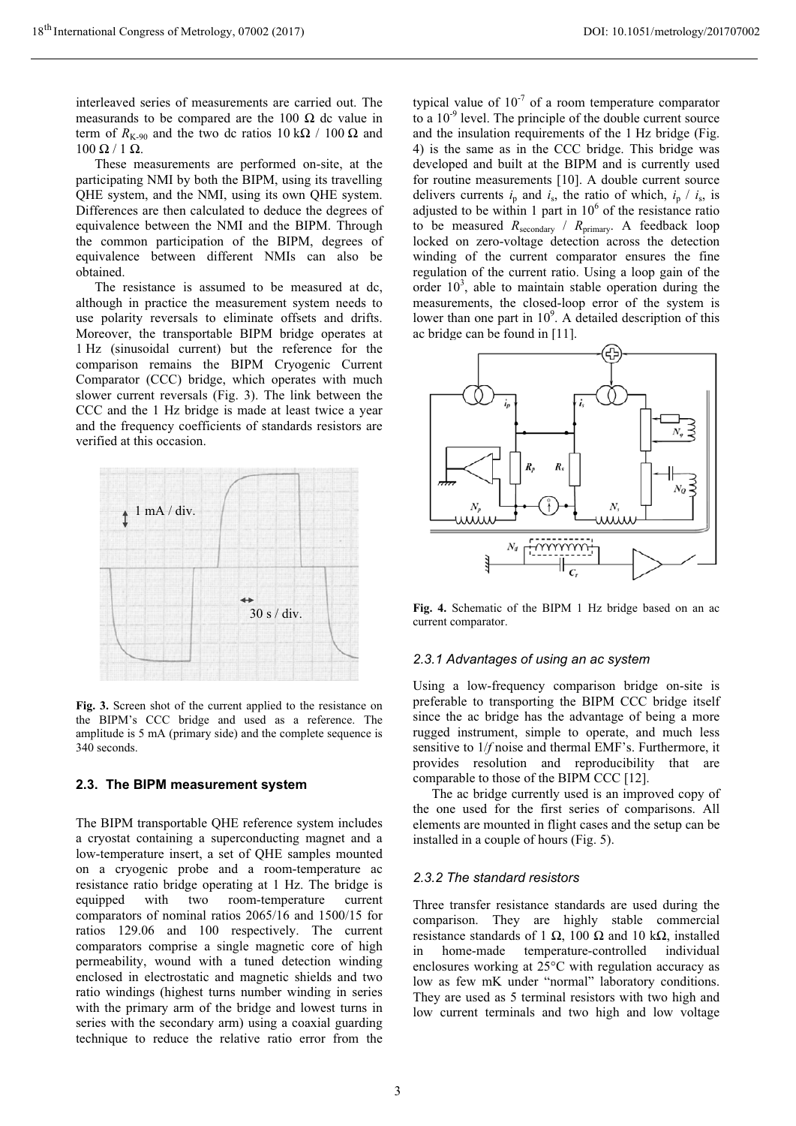interleaved series of measurements are carried out. The measurands to be compared are the 100  $\Omega$  dc value in term of  $R_{K-90}$  and the two dc ratios  $10 \text{ k}\Omega / 100 \Omega$  and  $100 \Omega / 1 \Omega$ .

These measurements are performed on-site, at the participating NMI by both the BIPM, using its travelling QHE system, and the NMI, using its own QHE system. Differences are then calculated to deduce the degrees of equivalence between the NMI and the BIPM. Through the common participation of the BIPM, degrees of equivalence between different NMIs can also be obtained.

The resistance is assumed to be measured at dc, although in practice the measurement system needs to use polarity reversals to eliminate offsets and drifts. Moreover, the transportable BIPM bridge operates at 1 Hz (sinusoidal current) but the reference for the comparison remains the BIPM Cryogenic Current Comparator (CCC) bridge, which operates with much slower current reversals (Fig. 3). The link between the CCC and the 1 Hz bridge is made at least twice a year and the frequency coefficients of standards resistors are verified at this occasion.



**Fig. 3.** Screen shot of the current applied to the resistance on the BIPM's CCC bridge and used as a reference. The amplitude is 5 mA (primary side) and the complete sequence is 340 seconds.

#### **2.3. The BIPM measurement system**

The BIPM transportable QHE reference system includes a cryostat containing a superconducting magnet and a low-temperature insert, a set of QHE samples mounted on a cryogenic probe and a room-temperature ac resistance ratio bridge operating at 1 Hz. The bridge is equipped with two room-temperature current comparators of nominal ratios 2065/16 and 1500/15 for ratios 129.06 and 100 respectively. The current comparators comprise a single magnetic core of high permeability, wound with a tuned detection winding enclosed in electrostatic and magnetic shields and two ratio windings (highest turns number winding in series with the primary arm of the bridge and lowest turns in series with the secondary arm) using a coaxial guarding technique to reduce the relative ratio error from the

typical value of  $10^{-7}$  of a room temperature comparator to a  $10^{-9}$  level. The principle of the double current source and the insulation requirements of the 1 Hz bridge (Fig. 4) is the same as in the CCC bridge. This bridge was developed and built at the BIPM and is currently used for routine measurements [10]. A double current source delivers currents  $i_p$  and  $i_s$ , the ratio of which,  $i_p / i_s$ , is adjusted to be within 1 part in  $10<sup>6</sup>$  of the resistance ratio to be measured *R*secondary / *R*primary. A feedback loop locked on zero-voltage detection across the detection winding of the current comparator ensures the fine regulation of the current ratio. Using a loop gain of the order  $10<sup>3</sup>$ , able to maintain stable operation during the measurements, the closed-loop error of the system is lower than one part in  $10^9$ . A detailed description of this ac bridge can be found in [11].



**Fig. 4.** Schematic of the BIPM 1 Hz bridge based on an ac current comparator.

#### *2.3.1 Advantages of using an ac system*

Using a low-frequency comparison bridge on-site is preferable to transporting the BIPM CCC bridge itself since the ac bridge has the advantage of being a more rugged instrument, simple to operate, and much less sensitive to 1/*f* noise and thermal EMF's. Furthermore, it provides resolution and reproducibility that are comparable to those of the BIPM CCC [12].

The ac bridge currently used is an improved copy of the one used for the first series of comparisons. All elements are mounted in flight cases and the setup can be installed in a couple of hours (Fig. 5).

## *2.3.2 The standard resistors*

Three transfer resistance standards are used during the comparison. They are highly stable commercial resistance standards of 1  $\Omega$ , 100  $\Omega$  and 10 k $\Omega$ , installed in home-made temperature-controlled individual enclosures working at 25°C with regulation accuracy as low as few mK under "normal" laboratory conditions. They are used as 5 terminal resistors with two high and low current terminals and two high and low voltage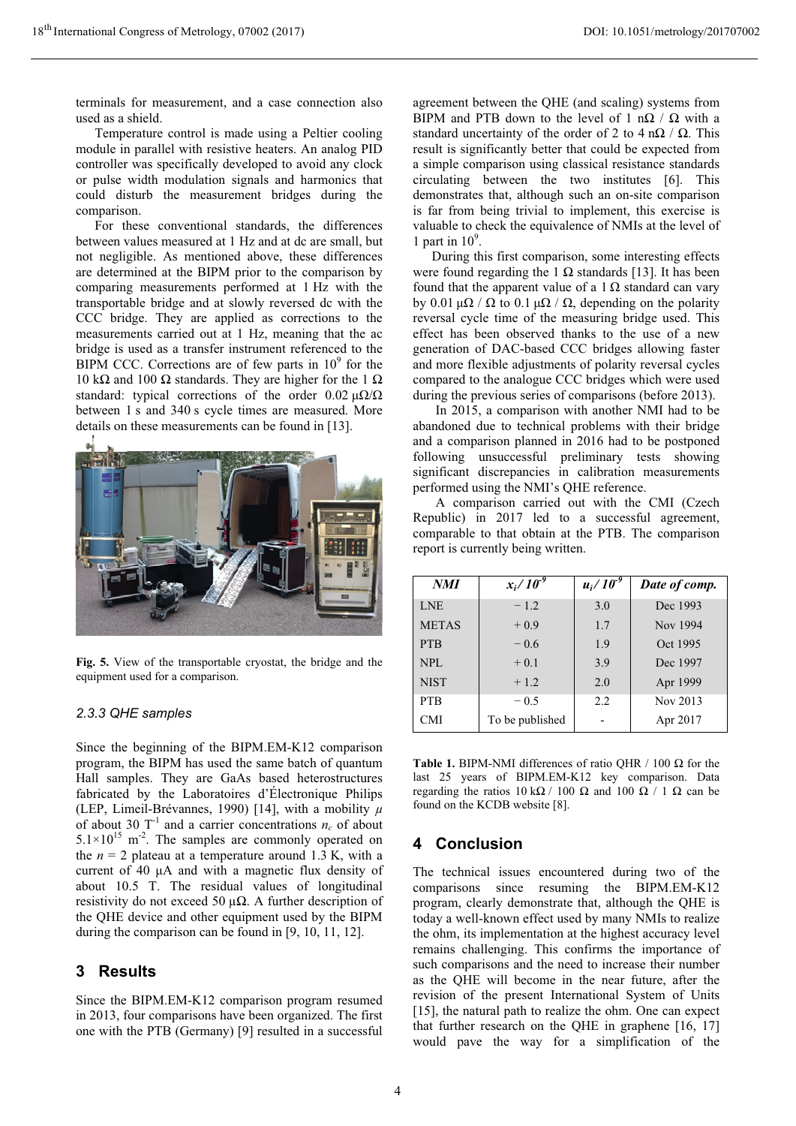terminals for measurement, and a case connection also used as a shield.

Temperature control is made using a Peltier cooling module in parallel with resistive heaters. An analog PID controller was specifically developed to avoid any clock or pulse width modulation signals and harmonics that could disturb the measurement bridges during the comparison.

For these conventional standards, the differences between values measured at 1 Hz and at dc are small, but not negligible. As mentioned above, these differences are determined at the BIPM prior to the comparison by comparing measurements performed at 1 Hz with the transportable bridge and at slowly reversed dc with the CCC bridge. They are applied as corrections to the measurements carried out at 1 Hz, meaning that the ac bridge is used as a transfer instrument referenced to the  $BIPM$  CCC. Corrections are of few parts in  $10<sup>9</sup>$  for the 10 k $\Omega$  and 100  $\Omega$  standards. They are higher for the 1  $\Omega$ standard: typical corrections of the order  $0.02 \mu\Omega/\Omega$ between 1 s and 340 s cycle times are measured. More details on these measurements can be found in [13].



**Fig. 5.** View of the transportable cryostat, the bridge and the equipment used for a comparison.

### *2.3.3 QHE samples*

Since the beginning of the BIPM.EM-K12 comparison program, the BIPM has used the same batch of quantum Hall samples. They are GaAs based heterostructures fabricated by the Laboratoires d'Électronique Philips (LEP, Limeil-Brévannes, 1990) [14], with a mobility *μ* of about 30  $T^{-1}$  and a carrier concentrations  $n_c$  of about  $5.1 \times 10^{15}$  m<sup>-2</sup>. The samples are commonly operated on the  $n = 2$  plateau at a temperature around 1.3 K, with a current of 40  $\mu$ A and with a magnetic flux density of about 10.5 T. The residual values of longitudinal resistivity do not exceed 50  $\mu\Omega$ . A further description of the QHE device and other equipment used by the BIPM during the comparison can be found in [9, 10, 11, 12].

## **3 Results**

Since the BIPM.EM-K12 comparison program resumed in 2013, four comparisons have been organized. The first one with the PTB (Germany) [9] resulted in a successful

agreement between the QHE (and scaling) systems from BIPM and PTB down to the level of 1 n $\Omega$  /  $\Omega$  with a standard uncertainty of the order of 2 to 4 n $\Omega$  /  $\Omega$ . This result is significantly better that could be expected from a simple comparison using classical resistance standards circulating between the two institutes [6]. This demonstrates that, although such an on-site comparison is far from being trivial to implement, this exercise is valuable to check the equivalence of NMIs at the level of 1 part in  $10^9$ .

 During this first comparison, some interesting effects were found regarding the 1  $\Omega$  standards [13]. It has been found that the apparent value of a 1  $\Omega$  standard can vary by 0.01  $\mu\Omega$  /  $\Omega$  to 0.1  $\mu\Omega$  /  $\Omega$ , depending on the polarity reversal cycle time of the measuring bridge used. This effect has been observed thanks to the use of a new generation of DAC-based CCC bridges allowing faster and more flexible adjustments of polarity reversal cycles compared to the analogue CCC bridges which were used during the previous series of comparisons (before 2013).

 In 2015, a comparison with another NMI had to be abandoned due to technical problems with their bridge and a comparison planned in 2016 had to be postponed following unsuccessful preliminary tests showing significant discrepancies in calibration measurements performed using the NMI's QHE reference.

 A comparison carried out with the CMI (Czech Republic) in 2017 led to a successful agreement, comparable to that obtain at the PTB. The comparison report is currently being written.

| <b>NMI</b>   | $x_i/10^{-9}$   | $u_i / 10^{-9}$ | Date of comp. |
|--------------|-----------------|-----------------|---------------|
| <b>LNE</b>   | $-1.2$          | 3.0             | Dec 1993      |
| <b>METAS</b> | $+0.9$          | 1.7             | Nov 1994      |
| <b>PTB</b>   | $-0.6$          | 1.9             | Oct 1995      |
| <b>NPL</b>   | $+0.1$          | 3.9             | Dec 1997      |
| <b>NIST</b>  | $+1.2$          | 2.0             | Apr 1999      |
| <b>PTB</b>   | $-0.5$          | 2.2             | Nov 2013      |
| <b>CMI</b>   | To be published |                 | Apr 2017      |

**Table 1.** BIPM-NMI differences of ratio OHR  $/ 100 \Omega$  for the last 25 years of BIPM.EM-K12 key comparison. Data regarding the ratios  $10 \text{ k}\Omega / 100 \Omega$  and  $100 \Omega / 1 \Omega$  can be found on the KCDB website [8].

## **4 Conclusion**

The technical issues encountered during two of the comparisons since resuming the BIPM.EM-K12 program, clearly demonstrate that, although the QHE is today a well-known effect used by many NMIs to realize the ohm, its implementation at the highest accuracy level remains challenging. This confirms the importance of such comparisons and the need to increase their number as the QHE will become in the near future, after the revision of the present International System of Units [15], the natural path to realize the ohm. One can expect that further research on the QHE in graphene [16, 17] would pave the way for a simplification of the